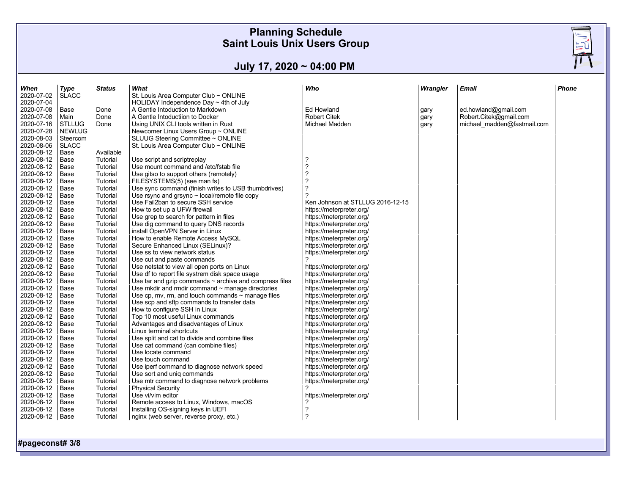$\frac{m_0}{m_0}$ 

# **July 17, 2020 ~ 04:00 PM**

| When                     | Type          | <b>Status</b> | What                                                        | Who                              | Wrangler | <b>Email</b>                | <b>Phone</b> |
|--------------------------|---------------|---------------|-------------------------------------------------------------|----------------------------------|----------|-----------------------------|--------------|
| 2020-07-02               | <b>SLACC</b>  |               | St. Louis Area Computer Club ~ ONLINE                       |                                  |          |                             |              |
| 2020-07-04               |               |               | HOLIDAY Independence Day $\sim$ 4th of July                 |                                  |          |                             |              |
| 2020-07-08               | Base          | Done          | A Gentle Intoduction to Markdown                            | Ed Howland                       | gary     | ed.howland@gmail.com        |              |
| 2020-07-08               | Main          | Done          | A Gentle Intoductiion to Docker                             | <b>Robert Citek</b>              | gary     | Robert.Citek@gmail.com      |              |
| 2020-07-16               | <b>STLLUG</b> | Done          | Using UNIX CLI tools written in Rust                        | Michael Madden                   | gary     | michael_madden@fastmail.com |              |
| 2020-07-28               | <b>NEWLUG</b> |               | Newcomer Linux Users Group ~ ONLINE                         |                                  |          |                             |              |
| 2020-08-03               | Steercom      |               | SLUUG Steering Committee ~ ONLINE                           |                                  |          |                             |              |
| 2020-08-06               | <b>SLACC</b>  |               | St. Louis Area Computer Club ~ ONLINE                       |                                  |          |                             |              |
| 2020-08-12               | Base          | Available     |                                                             |                                  |          |                             |              |
| 2020-08-12               | Base          | Tutorial      | Use script and scriptreplay                                 | ?                                |          |                             |              |
| 2020-08-12               | Base          | Tutorial      | Use mount command and /etc/fstab file                       | ?                                |          |                             |              |
| 2020-08-12               | Base          | Tutorial      | Use gitso to support others (remotely)                      | ?                                |          |                             |              |
| 2020-08-12               | Base          | Tutorial      | FILESYSTEMS(5) (see man fs)                                 | ?                                |          |                             |              |
| 2020-08-12               | Base          | Tutorial      | Use sync command (finish writes to USB thumbdrives)         | 7                                |          |                             |              |
| 2020-08-12               | Base          | Tutorial      | Use rsync and grsync $\sim$ local/remote file copy          | 2                                |          |                             |              |
| 2020-08-12               | Base          | Tutorial      | Use Fail2ban to secure SSH service                          | Ken Johnson at STLLUG 2016-12-15 |          |                             |              |
| 2020-08-12               | Base          | Tutorial      | How to set up a UFW firewall                                | https://meterpreter.org/         |          |                             |              |
| 2020-08-12               | Base          | Tutorial      | Use grep to search for pattern in files                     | https://meterpreter.org/         |          |                             |              |
| 2020-08-12               | Base          | Tutorial      | Use dig command to query DNS records                        | https://meterpreter.org/         |          |                             |              |
| 2020-08-12               | Base          | Tutorial      | install OpenVPN Server in Linux                             | https://meterpreter.org/         |          |                             |              |
| 2020-08-12               | Base          | Tutorial      | How to enable Remote Access MySQL                           | https://meterpreter.org/         |          |                             |              |
| 2020-08-12               | Base          | Tutorial      | Secure Enhanced Linux (SELinux)?                            | https://meterpreter.org/         |          |                             |              |
| 2020-08-12               | Base          | Tutorial      | Use ss to view network status                               | https://meterpreter.org/         |          |                             |              |
| 2020-08-12               | Base          | Tutorial      | Use cut and paste commands                                  | ?                                |          |                             |              |
| 2020-08-12               | Base          | Tutorial      | Use netstat to view all open ports on Linux                 | https://meterpreter.org/         |          |                             |              |
| 2020-08-12               |               |               |                                                             |                                  |          |                             |              |
|                          | Base          | Tutorial      | Use df to report file systrem disk space usage              | https://meterpreter.org/         |          |                             |              |
| 2020-08-12<br>2020-08-12 | Base          | Tutorial      | Use tar and gzip commands $\sim$ archive and compress files | https://meterpreter.org/         |          |                             |              |
|                          | Base          | Tutorial      | Use mkdir and rmdir command $\sim$ manage directories       | https://meterpreter.org/         |          |                             |              |
| 2020-08-12               | Base          | Tutorial      | Use cp, mv, rm, and touch commands $\sim$ manage files      | https://meterpreter.org/         |          |                             |              |
| 2020-08-12               | Base          | Tutorial      | Use scp and sftp commands to transfer data                  | https://meterpreter.org/         |          |                             |              |
| 2020-08-12               | Base          | Tutorial      | How to configure SSH in Linux                               | https://meterpreter.org/         |          |                             |              |
| 2020-08-12               | Base          | Tutorial      | Top 10 most useful Linux commands                           | https://meterpreter.org/         |          |                             |              |
| 2020-08-12               | Base          | Tutorial      | Advantages and disadvantages of Linux                       | https://meterpreter.org/         |          |                             |              |
| 2020-08-12               | Base          | Tutorial      | Linux terminal shortcuts                                    | https://meterpreter.org/         |          |                             |              |
| 2020-08-12               | Base          | Tutorial      | Use split and cat to divide and combine files               | https://meterpreter.org/         |          |                             |              |
| 2020-08-12               | Base          | Tutorial      | Use cat command (can combine files)                         | https://meterpreter.org/         |          |                             |              |
| 2020-08-12               | Base          | Tutorial      | Use locate command                                          | https://meterpreter.org/         |          |                             |              |
| 2020-08-12               | Base          | Tutorial      | Use touch command                                           | https://meterpreter.org/         |          |                             |              |
| 2020-08-12               | Base          | Tutorial      | Use iperf command to diagnose network speed                 | https://meterpreter.org/         |          |                             |              |
| 2020-08-12               | Base          | Tutorial      | Use sort and uniq commands                                  | https://meterpreter.org/         |          |                             |              |
| 2020-08-12               | Base          | Tutorial      | Use mtr command to diagnose network problems                | https://meterpreter.org/         |          |                             |              |
| 2020-08-12               | Base          | Tutorial      | <b>Physical Security</b>                                    | 2                                |          |                             |              |
| 2020-08-12               | Base          | Tutorial      | Use vi/vim editor                                           | https://meterpreter.org/         |          |                             |              |
| 2020-08-12               | Base          | Tutorial      | Remote access to Linux, Windows, macOS                      | 7                                |          |                             |              |
| 2020-08-12               | Base          | Tutorial      | Installing OS-signing keys in UEFI                          | ?                                |          |                             |              |
| 2020-08-12               | Base          | Tutorial      | nginx (web server, reverse proxy, etc.)                     | ?                                |          |                             |              |

**#pageconst# 3/8**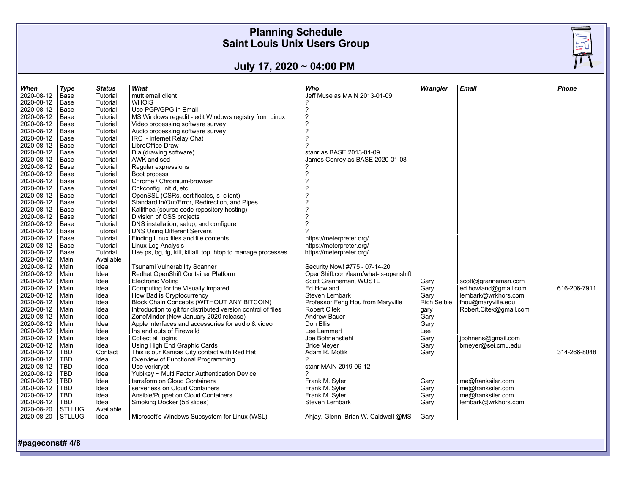$\frac{m_0}{m_0}$ 

# **July 17, 2020 ~ 04:00 PM**

| When              | <b>Type</b>   | <b>Status</b> | What                                                         | Who                                   | Wrangler           | <b>Email</b>           | <b>Phone</b> |
|-------------------|---------------|---------------|--------------------------------------------------------------|---------------------------------------|--------------------|------------------------|--------------|
| 2020-08-12        | Base          | Tutorial      | mutt email client                                            | Jeff Muse as MAIN 2013-01-09          |                    |                        |              |
| 2020-08-12        | Base          | Tutorial      | <b>WHOIS</b>                                                 |                                       |                    |                        |              |
| 2020-08-12        | Base          | Tutorial      | Use PGP/GPG in Email                                         | ?                                     |                    |                        |              |
| 2020-08-12        | Base          | Tutorial      | MS Windows regedit - edit Windows registry from Linux        | ?                                     |                    |                        |              |
| 2020-08-12        | Base          | Tutorial      | Video processing software survey                             | $\overline{\phantom{a}}$              |                    |                        |              |
| 2020-08-12        | Base          | Tutorial      | Audio processing software survey                             | ?                                     |                    |                        |              |
| 2020-08-12        | Base          | Tutorial      | $IRC$ ~ internet Relay Chat                                  | 2                                     |                    |                        |              |
| 2020-08-12        | Base          | Tutorial      | LibreOffice Draw                                             | 7                                     |                    |                        |              |
| 2020-08-12        | Base          | Tutorial      | Dia (drawing software)                                       | stanr as BASE 2013-01-09              |                    |                        |              |
| 2020-08-12        |               |               | AWK and sed                                                  |                                       |                    |                        |              |
|                   | Base          | Tutorial      |                                                              | James Conroy as BASE 2020-01-08       |                    |                        |              |
| 2020-08-12        | Base          | Tutorial      | Regular expressions                                          |                                       |                    |                        |              |
| 2020-08-12        | Base          | Tutorial      | Boot process                                                 | ?                                     |                    |                        |              |
| 2020-08-12        | Base          | Tutorial      | Chrome / Chromium-browser                                    | 2                                     |                    |                        |              |
| 2020-08-12        | Base          | Tutorial      | Chkconfig, init.d, etc.                                      | 2                                     |                    |                        |              |
| 2020-08-12        | Base          | Tutorial      | OpenSSL (CSRs, certificates, s_client)                       | 7                                     |                    |                        |              |
| 2020-08-12        | Base          | Tutorial      | Standard In/Out/Error, Redirection, and Pipes                | 7                                     |                    |                        |              |
| 2020-08-12        | Base          | Tutorial      | Kallithea (source code repository hosting)                   | 7                                     |                    |                        |              |
| 2020-08-12        | Base          | Tutorial      | Division of OSS projects                                     | $\overline{\phantom{a}}$              |                    |                        |              |
| 2020-08-12        | Base          | Tutorial      | DNS installation, setup, and configure                       | 7                                     |                    |                        |              |
| 2020-08-12        | Base          | Tutorial      | <b>DNS Using Different Servers</b>                           |                                       |                    |                        |              |
| 2020-08-12        | Base          | Tutorial      | Finding Linux files and file contents                        | https://meterpreter.org/              |                    |                        |              |
| 2020-08-12        | Base          | Tutorial      | Linux Log Analysis                                           | https://meterpreter.org/              |                    |                        |              |
| 2020-08-12        | Base          | Tutorial      | Use ps, bg, fg, kill, killall, top, htop to manage processes | https://meterpreter.org/              |                    |                        |              |
| 2020-08-12        | Main          | Available     |                                                              |                                       |                    |                        |              |
| 2020-08-12        | Main          | Idea          | Tsunami Vulnerability Scanner                                | Security Now! #775 - 07-14-20         |                    |                        |              |
| 2020-08-12        | Main          | Idea          | Redhat OpenShift Container Platform                          | OpenShift.com/learn/what-is-openshift |                    |                        |              |
| 2020-08-12        | Main          | Idea          | <b>Electronic Voting</b>                                     | Scott Granneman, WUSTL                | Gary               | scott@granneman.com    |              |
| 2020-08-12        | Main          | Idea          | Computing for the Visually Impared                           | Ed Howland                            | Gary               | ed.howland@gmail.com   | 616-206-7911 |
| 2020-08-12        | Main          | Idea          | How Bad is Cryptocurrency                                    | Steven Lembark                        | Gary               | lembark@wrkhors.com    |              |
| 2020-08-12        | Main          | Idea          | Block Chain Concepts (WITHOUT ANY BITCOIN)                   | Professor Feng Hou from Maryville     | <b>Rich Seible</b> | fhou@maryville.edu     |              |
| 2020-08-12        | Main          | Idea          | Introduction to git for distributed version control of files | <b>Robert Citek</b>                   |                    | Robert.Citek@gmail.com |              |
| 2020-08-12        |               | Idea          |                                                              | <b>Andrew Bauer</b>                   | gary               |                        |              |
|                   | Main          |               | ZoneMinder (New January 2020 release)                        |                                       | Gary               |                        |              |
| 2020-08-12        | Main          | Idea          | Apple interfaces and accessories for audio & video           | Don Ellis                             | Gary               |                        |              |
| 2020-08-12        | Main          | Idea          | Ins and outs of Firewalld                                    | Lee Lammert                           | Lee                |                        |              |
| 2020-08-12        | Main          | Idea          | Collect all logins                                           | Joe Bohnenstiehl                      | Gary               | jbohnens@gmail.com     |              |
| 2020-08-12        | Main          | Idea          | Using High End Graphic Cards                                 | <b>Brice Meyer</b>                    | Gary               | bmeyer@sei.cmu.edu     |              |
| 2020-08-12        | TBD           | Contact       | This is our Kansas City contact with Red Hat                 | Adam R. Motlik                        | Gary               |                        | 314-266-8048 |
| 2020-08-12        | <b>TBD</b>    | Idea          | Overview of Functional Programming                           | 7                                     |                    |                        |              |
| 2020-08-12        | TBD           | Idea          | Use vericrypt                                                | stanr MAIN 2019-06-12                 |                    |                        |              |
| 2020-08-12        | TBD           | Idea          | Yubikey ~ Multi Factor Authentication Device                 | 7                                     |                    |                        |              |
| 2020-08-12        | TBD           | Idea          | terraform on Cloud Containers                                | Frank M. Syler                        | Garv               | me@franksiler.com      |              |
| 2020-08-12        | TBD           | Idea          | serverless on Cloud Containers                               | Frank M. Syler                        | Gary               | me@franksiler.com      |              |
| 2020-08-12        | TBD           | Idea          | Ansible/Puppet on Cloud Containers                           | Frank M. Syler                        | Gary               | me@franksiler.com      |              |
| 2020-08-12        | TBD           | Idea          | Smoking Docker (58 slides)                                   | Steven Lembark                        | Gary               | lembark@wrkhors.com    |              |
| 2020-08-20        | <b>STLLUG</b> | Available     |                                                              |                                       |                    |                        |              |
| 2020-08-20 STLLUG |               | Idea          | Microsoft's Windows Subsystem for Linux (WSL)                | Ahjay, Glenn, Brian W. Caldwell @MS   | Gary               |                        |              |
|                   |               |               |                                                              |                                       |                    |                        |              |

**#pageconst# 4/8**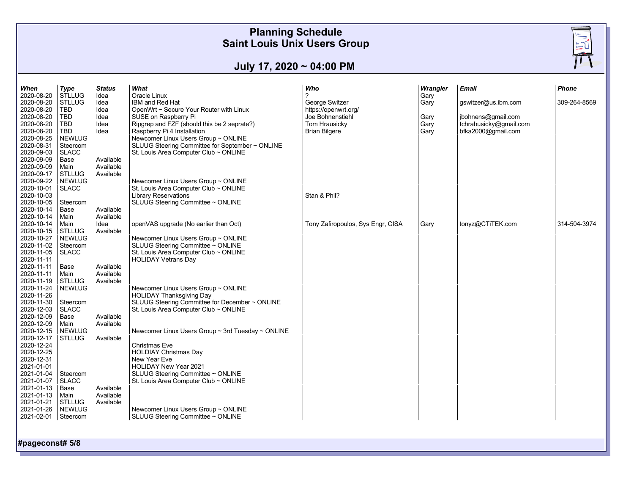$\frac{m_0}{m_0}$ 

# **July 17, 2020 ~ 04:00 PM**

| When       | Type          | <b>Status</b> | What                                              | Who                               | Wrangler | <b>Email</b>           | Phone        |
|------------|---------------|---------------|---------------------------------------------------|-----------------------------------|----------|------------------------|--------------|
| 2020-08-20 | <b>STLLUG</b> | Idea          | Oracle Linux                                      |                                   | Gary     |                        |              |
| 2020-08-20 | <b>STLLUG</b> | Idea          | IBM and Red Hat                                   | George Switzer                    | Gary     | gswitzer@us.ibm.com    | 309-264-8569 |
| 2020-08-20 | TBD           | Idea          | OpenWrt ~ Secure Your Router with Linux           | https://openwrt.org/              |          |                        |              |
| 2020-08-20 | <b>TBD</b>    | Idea          | SUSE on Raspberry Pi                              | Joe Bohnenstiehl                  | Gary     | jbohnens@gmail.com     |              |
| 2020-08-20 | TBD           | Idea          | Ripgrep and FZF (should this be 2 seprate?)       | Tom Hrausicky                     | Gary     | tchrabusicky@gmail.com |              |
| 2020-08-20 | <b>TBD</b>    | Idea          | Raspberry Pi 4 Installation                       | <b>Brian Bilgere</b>              | Gary     | bfka2000@gmail.com     |              |
| 2020-08-25 | <b>NEWLUG</b> |               | Newcomer Linux Users Group ~ ONLINE               |                                   |          |                        |              |
| 2020-08-31 | Steercom      |               | SLUUG Steering Committee for September ~ ONLINE   |                                   |          |                        |              |
| 2020-09-03 | <b>SLACC</b>  |               | St. Louis Area Computer Club ~ ONLINE             |                                   |          |                        |              |
| 2020-09-09 | Base          | Available     |                                                   |                                   |          |                        |              |
| 2020-09-09 |               | Available     |                                                   |                                   |          |                        |              |
| 2020-09-17 | Main          |               |                                                   |                                   |          |                        |              |
|            | <b>STLLUG</b> | Available     |                                                   |                                   |          |                        |              |
| 2020-09-22 | <b>NEWLUG</b> |               | Newcomer Linux Users Group ~ ONLINE               |                                   |          |                        |              |
| 2020-10-01 | <b>SLACC</b>  |               | St. Louis Area Computer Club ~ ONLINE             |                                   |          |                        |              |
| 2020-10-03 |               |               | <b>Library Reservations</b>                       | Stan & Phil?                      |          |                        |              |
| 2020-10-05 | Steercom      |               | SLUUG Steering Committee ~ ONLINE                 |                                   |          |                        |              |
| 2020-10-14 | Base          | Available     |                                                   |                                   |          |                        |              |
| 2020-10-14 | Main          | Available     |                                                   |                                   |          |                        |              |
| 2020-10-14 | Main          | Idea          | openVAS upgrade (No earlier than Oct)             | Tony Zafiropoulos, Sys Engr, CISA | Gary     | tonyz@CTiTEK.com       | 314-504-3974 |
| 2020-10-15 | <b>STLLUG</b> | Available     |                                                   |                                   |          |                        |              |
| 2020-10-27 | <b>NEWLUG</b> |               | Newcomer Linux Users Group ~ ONLINE               |                                   |          |                        |              |
| 2020-11-02 | Steercom      |               | SLUUG Steering Committee ~ ONLINE                 |                                   |          |                        |              |
| 2020-11-05 | <b>SLACC</b>  |               | St. Louis Area Computer Club ~ ONLINE             |                                   |          |                        |              |
| 2020-11-11 |               |               | <b>HOLIDAY Vetrans Day</b>                        |                                   |          |                        |              |
| 2020-11-11 | Base          | Available     |                                                   |                                   |          |                        |              |
| 2020-11-11 | Main          | Available     |                                                   |                                   |          |                        |              |
| 2020-11-19 | <b>STLLUG</b> | Available     |                                                   |                                   |          |                        |              |
| 2020-11-24 | <b>NEWLUG</b> |               | Newcomer Linux Users Group ~ ONLINE               |                                   |          |                        |              |
| 2020-11-26 |               |               | <b>HOLIDAY Thanksgiving Day</b>                   |                                   |          |                        |              |
| 2020-11-30 | Steercom      |               | SLUUG Steering Committee for December ~ ONLINE    |                                   |          |                        |              |
| 2020-12-03 | <b>SLACC</b>  |               | St. Louis Area Computer Club ~ ONLINE             |                                   |          |                        |              |
| 2020-12-09 | Base          | Available     |                                                   |                                   |          |                        |              |
| 2020-12-09 | Main          | Available     |                                                   |                                   |          |                        |              |
| 2020-12-15 | <b>NEWLUG</b> |               | Newcomer Linux Users Group ~ 3rd Tuesday ~ ONLINE |                                   |          |                        |              |
| 2020-12-17 | <b>STLLUG</b> | Available     |                                                   |                                   |          |                        |              |
| 2020-12-24 |               |               | Christmas Eve                                     |                                   |          |                        |              |
| 2020-12-25 |               |               | <b>HOLDIAY Christmas Day</b>                      |                                   |          |                        |              |
| 2020-12-31 |               |               | New Year Eve                                      |                                   |          |                        |              |
| 2021-01-01 |               |               | <b>HOLIDAY New Year 2021</b>                      |                                   |          |                        |              |
| 2021-01-04 | Steercom      |               | SLUUG Steering Committee ~ ONLINE                 |                                   |          |                        |              |
| 2021-01-07 | <b>SLACC</b>  |               | St. Louis Area Computer Club ~ ONLINE             |                                   |          |                        |              |
| 2021-01-13 | Base          | Available     |                                                   |                                   |          |                        |              |
| 2021-01-13 | Main          | Available     |                                                   |                                   |          |                        |              |
| 2021-01-21 | <b>STLLUG</b> | Available     |                                                   |                                   |          |                        |              |
| 2021-01-26 | <b>NEWLUG</b> |               | Newcomer Linux Users Group ~ ONLINE               |                                   |          |                        |              |
| 2021-02-01 | Steercom      |               | SLUUG Steering Committee ~ ONLINE                 |                                   |          |                        |              |
|            |               |               |                                                   |                                   |          |                        |              |
|            |               |               |                                                   |                                   |          |                        |              |

**#pageconst# 5/8**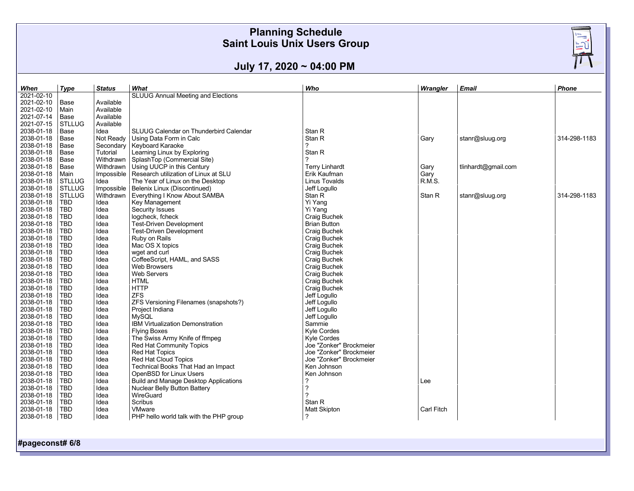$\begin{picture}(20,20) \put(0,0){\line(1,0){10}} \put(15,0){\line(1,0){10}} \put(15,0){\line(1,0){10}} \put(15,0){\line(1,0){10}} \put(15,0){\line(1,0){10}} \put(15,0){\line(1,0){10}} \put(15,0){\line(1,0){10}} \put(15,0){\line(1,0){10}} \put(15,0){\line(1,0){10}} \put(15,0){\line(1,0){10}} \put(15,0){\line(1,0){10}} \put(15,0){\line(1$ 

# **July 17, 2020 ~ 04:00 PM**

| When             | <b>Type</b>        | <b>Status</b> | What                                      | Who                     | Wrangler   | <b>Email</b>        | <b>Phone</b> |
|------------------|--------------------|---------------|-------------------------------------------|-------------------------|------------|---------------------|--------------|
| 2021-02-10       |                    |               | <b>SLUUG Annual Meeting and Elections</b> |                         |            |                     |              |
| 2021-02-10       | Base               | Available     |                                           |                         |            |                     |              |
| 2021-02-10       | Main               | Available     |                                           |                         |            |                     |              |
| 2021-07-14       | Base               | Available     |                                           |                         |            |                     |              |
| 2021-07-15       | <b>STLLUG</b>      | Available     |                                           |                         |            |                     |              |
| 2038-01-18       | Base               | Idea          | SLUUG Calendar on Thunderbird Calendar    | Stan R                  |            |                     |              |
| 2038-01-18       | Base               | Not Ready     | Using Data Form in Calc                   | Stan R                  | Gary       | stanr@sluug.org     | 314-298-1183 |
| 2038-01-18       | Base               | Secondary     | Keyboard Karaoke                          |                         |            |                     |              |
| 2038-01-18       | Base               | Tutorial      | Learning Linux by Exploring               | Stan R                  |            |                     |              |
| 2038-01-18       | Base               | Withdrawn     | SplashTop (Commercial Site)               | 7                       |            |                     |              |
| 2038-01-18       | Base               | Withdrawn     | Using UUCP in this Century                | <b>Terry Linhardt</b>   | Gary       | tlinhardt@gmail.com |              |
| 2038-01-18       | Main               | Imposisible   | Research utilization of Linux at SLU      | Erik Kaufman            | Gary       |                     |              |
| 2038-01-18       | STLLUG             | Idea          | The Year of Linux on the Desktop          | Linus Tovalds           | R.M.S.     |                     |              |
| 2038-01-18       | <b>STLLUG</b>      | Impossible    | Belenix Linux (Discontinued)              | Jeff Logullo            |            |                     |              |
| 2038-01-18       | <b>STLLUG</b>      | Withdrawn     | Everything I Know About SAMBA             | Stan R                  | Stan R     | stanr@sluug.org     | 314-298-1183 |
| 2038-01-18       | <b>TBD</b>         | Idea          | Key Management                            | Yi Yang                 |            |                     |              |
| 2038-01-18       | TBD                | Idea          | Security Issues                           | Yi Yang                 |            |                     |              |
| 2038-01-18       | <b>TBD</b>         | Idea          | logcheck, fcheck                          | Craig Buchek            |            |                     |              |
| 2038-01-18       | <b>TBD</b>         | Idea          | <b>Test-Driven Development</b>            | <b>Brian Button</b>     |            |                     |              |
| 2038-01-18       | TBD.               | Idea          | <b>Test-Driven Development</b>            | Craig Buchek            |            |                     |              |
| 2038-01-18       | <b>TBD</b>         | Idea          | Ruby on Rails                             | Craig Buchek            |            |                     |              |
| 2038-01-18       |                    |               | Mac OS X topics                           | Craig Buchek            |            |                     |              |
| 2038-01-18       | TBD.<br><b>TBD</b> | Idea<br>Idea  | wget and curl                             | Craig Buchek            |            |                     |              |
| 2038-01-18       | <b>TBD</b>         |               | CoffeeScript, HAML, and SASS              |                         |            |                     |              |
|                  |                    | Idea          | <b>Web Browsers</b>                       | Craig Buchek            |            |                     |              |
| 2038-01-18       | <b>TBD</b>         | Idea          |                                           | Craig Buchek            |            |                     |              |
| 2038-01-18       | <b>TBD</b>         | Idea          | <b>Web Servers</b>                        | Craig Buchek            |            |                     |              |
| 2038-01-18       | <b>TBD</b>         | Idea          | <b>HTML</b>                               | Craig Buchek            |            |                     |              |
| 2038-01-18       | <b>TBD</b>         | Idea          | <b>HTTP</b>                               | Craig Buchek            |            |                     |              |
| 2038-01-18       | <b>TBD</b>         | Idea          | <b>ZFS</b>                                | Jeff Logullo            |            |                     |              |
| 2038-01-18       | <b>TBD</b>         | Idea          | ZFS Versioning Filenames (snapshots?)     | Jeff Logullo            |            |                     |              |
| 2038-01-18       | <b>TBD</b>         | Idea          | Project Indiana                           | Jeff Logullo            |            |                     |              |
| 2038-01-18       | <b>TBD</b>         | Idea          | <b>MySQL</b>                              | Jeff Logullo            |            |                     |              |
| 2038-01-18       | <b>TBD</b>         | Idea          | IBM Virtualization Demonstration          | Sammie                  |            |                     |              |
| 2038-01-18       | <b>TBD</b>         | Idea          | <b>Flying Boxes</b>                       | <b>Kyle Cordes</b>      |            |                     |              |
| 2038-01-18       | <b>TBD</b>         | Idea          | The Swiss Army Knife of ffmpeg            | Kyle Cordes             |            |                     |              |
| 2038-01-18       | <b>TBD</b>         | Idea          | Red Hat Community Topics                  | Joe "Zonker" Brockmeier |            |                     |              |
| 2038-01-18       | TBD                | Idea          | <b>Red Hat Topics</b>                     | Joe "Zonker" Brockmeier |            |                     |              |
| 2038-01-18       | <b>TBD</b>         | Idea          | Red Hat Cloud Topics                      | Joe "Zonker" Brockmeier |            |                     |              |
| 2038-01-18       | <b>TBD</b>         | Idea          | Technical Books That Had an Impact        | Ken Johnson             |            |                     |              |
| 2038-01-18       | <b>TBD</b>         | Idea          | OpenBSD for Linux Users                   | Ken Johnson             |            |                     |              |
| 2038-01-18       | <b>TBD</b>         | Idea          | Build and Manage Desktop Applications     | ?                       | Lee        |                     |              |
| 2038-01-18       | TBD.               | Idea          | Nuclear Belly Button Battery              | ?                       |            |                     |              |
| 2038-01-18       | <b>TBD</b>         | Idea          | WireGuard                                 | 7                       |            |                     |              |
| 2038-01-18       | <b>TBD</b>         | Idea          | Scribus                                   | Stan R                  |            |                     |              |
| 2038-01-18       | <b>TBD</b>         | Idea          | <b>VMware</b>                             | Matt Skipton            | Carl Fitch |                     |              |
| 2038-01-18   TBD |                    | Idea          | PHP hello world talk with the PHP group   |                         |            |                     |              |
|                  |                    |               |                                           |                         |            |                     |              |

#### **#pageconst# 6/8**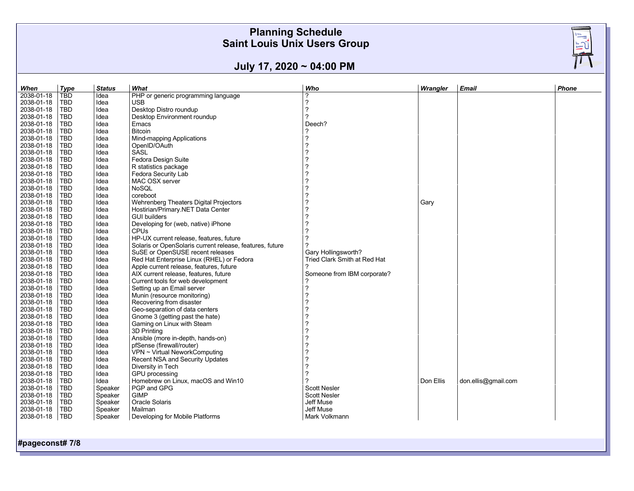| <b>Planning Schedule</b><br><b>Saint Louis Unix Users Group</b> |             |               |                                                          |                              |           |                     |       |  |
|-----------------------------------------------------------------|-------------|---------------|----------------------------------------------------------|------------------------------|-----------|---------------------|-------|--|
| July 17, 2020 ~ 04:00 PM                                        |             |               |                                                          |                              |           |                     |       |  |
|                                                                 |             |               |                                                          |                              |           |                     |       |  |
| When                                                            | <b>Type</b> | <b>Status</b> | What                                                     | Who                          | Wrangler  | <b>Email</b>        | Phone |  |
| 2038-01-18                                                      | TBD         | Idea          | PHP or generic programming language                      | 7                            |           |                     |       |  |
| 2038-01-18                                                      | TBD         | Idea          | USB                                                      | ?                            |           |                     |       |  |
| 2038-01-18                                                      | TBD         | Idea          | Desktop Distro roundup                                   | $\overline{\phantom{a}}$     |           |                     |       |  |
| 2038-01-18                                                      | TBD         | Idea          | Desktop Environment roundup                              | $\overline{\phantom{a}}$     |           |                     |       |  |
| 2038-01-18                                                      | TBD         | Idea          | Emacs                                                    | Deech?                       |           |                     |       |  |
| 2038-01-18                                                      | TBD         | Idea          | <b>Bitcoin</b>                                           |                              |           |                     |       |  |
| 2038-01-18                                                      | TBD         | Idea          | Mind-mapping Applications                                | ?                            |           |                     |       |  |
| 2038-01-18                                                      | TBD         | Idea          | OpenID/OAuth                                             | 7                            |           |                     |       |  |
| 2038-01-18                                                      | TBD         | Idea          | <b>SASL</b>                                              | 7                            |           |                     |       |  |
| 2038-01-18                                                      | TBD         | Idea          | Fedora Design Suite                                      | 7                            |           |                     |       |  |
| 2038-01-18                                                      | TBD         | Idea          | R statistics package                                     | 7                            |           |                     |       |  |
| 2038-01-18                                                      | <b>TBD</b>  | Idea          | Fedora Security Lab                                      | 7                            |           |                     |       |  |
| 2038-01-18                                                      | TBD         | Idea          | MAC OSX server                                           | 7                            |           |                     |       |  |
| 2038-01-18                                                      | TBD         | Idea          | NoSQL                                                    | 7                            |           |                     |       |  |
| 2038-01-18                                                      | TBD         | Idea          | coreboot                                                 |                              |           |                     |       |  |
| 2038-01-18                                                      | TBD         | Idea          | Wehrenberg Theaters Digital Projectors                   |                              | Gary      |                     |       |  |
| 2038-01-18                                                      | TBD         | Idea          | Hostirian/Primary.NET Data Center                        |                              |           |                     |       |  |
| 2038-01-18                                                      | TBD         | Idea          | <b>GUI builders</b>                                      |                              |           |                     |       |  |
| 2038-01-18                                                      | TBD         | Idea          | Developing for (web, native) iPhone                      | ?                            |           |                     |       |  |
| 2038-01-18                                                      | TBD         | Idea          | <b>CPUs</b>                                              | ?                            |           |                     |       |  |
| 2038-01-18                                                      | TBD         | Idea          | HP-UX current release, features, future                  | 7                            |           |                     |       |  |
| 2038-01-18                                                      | TBD         | Idea          | Solaris or OpenSolaris current release, features, future |                              |           |                     |       |  |
| 2038-01-18                                                      | TBD         | Idea          | SuSE or OpenSUSE recent releases                         | Gary Hollingsworth?          |           |                     |       |  |
| 2038-01-18                                                      | TBD         | Idea          | Red Hat Enterprise Linux (RHEL) or Fedora                | Tried Clark Smith at Red Hat |           |                     |       |  |
| 2038-01-18                                                      | TBD         | Idea          | Apple current release, features, future                  |                              |           |                     |       |  |
| 2038-01-18                                                      | TBD         | Idea          | AIX current release, features, future                    | Someone from IBM corporate?  |           |                     |       |  |
| 2038-01-18                                                      | TBD         | Idea          | Current tools for web development                        |                              |           |                     |       |  |
| 2038-01-18                                                      | TBD         | Idea          | Setting up an Email server                               | ?                            |           |                     |       |  |
| 2038-01-18                                                      | TBD         | Idea          | Munin (resource monitoring)                              | 7                            |           |                     |       |  |
| 2038-01-18                                                      | TBD         | Idea          | Recovering from disaster                                 | 7                            |           |                     |       |  |
| 2038-01-18                                                      | TBD         | Idea          | Geo-separation of data centers                           | 7                            |           |                     |       |  |
| 2038-01-18                                                      | TBD         | Idea          | Gnome 3 (getting past the hate)                          | 7                            |           |                     |       |  |
| 2038-01-18                                                      | TBD         | Idea          | Gaming on Linux with Steam                               | 7                            |           |                     |       |  |
| 2038-01-18                                                      | TBD         | Idea          | 3D Printing                                              | 7                            |           |                     |       |  |
| 2038-01-18                                                      | TBD         | Idea          | Ansible (more in-depth, hands-on)                        | 7                            |           |                     |       |  |
| 2038-01-18                                                      | TBD         | Idea          | pfSense (firewall/router)                                | 7                            |           |                     |       |  |
| 2038-01-18                                                      | TBD         | Idea          | VPN ~ Virtual NeworkComputing                            | 7                            |           |                     |       |  |
| 2038-01-18                                                      | TBD         | Idea          | Recent NSA and Security Updates                          | 7                            |           |                     |       |  |
| 2038-01-18                                                      | TBD         | Idea          | Diversity in Tech                                        | ?                            |           |                     |       |  |
| 2038-01-18                                                      | TBD         | Idea          | GPU processing                                           | 7                            |           |                     |       |  |
| 2038-01-18                                                      | TBD         | Idea          | Homebrew on Linux, macOS and Win10                       |                              | Don Ellis | don.ellis@gmail.com |       |  |
| 2038-01-18                                                      | TBD         | Speaker       | PGP and GPG                                              | <b>Scott Nesler</b>          |           |                     |       |  |
| 2038-01-18                                                      | <b>TBD</b>  | Speaker       | <b>GIMP</b>                                              | Scott Nesler                 |           |                     |       |  |

**#pageconst# 7/8**

2038-01-18 TBD Speaker GIMP<br>2038-01-18 TBD Speaker Oracle Solaris Speaker Speaker Speaker Speaker Speaker Speaker

2038 TBD Speaker Oracle Solaris Contract Contract of Speaker Mailman Speaker Museum Speaker Museum Speaker Speaker Speaker Speaker Speaker Speaker Speaker Speaker Speaker Speaker Speaker Speaker Speaker Speaker Speaker Spe 2038-01-18 TBD Speaker Mailman Shows Barrow Jeff Muse<br>2038-01-18 TBD Speaker Developing for Mobile Platforms Shows Mark Volkmann Developing for Mobile Platforms